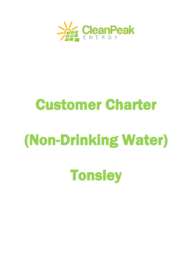

# Customer Charter

# (Non-Drinking Water)

**Tonsley**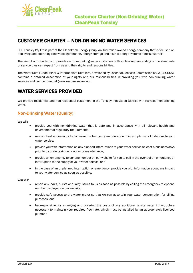

## CUSTOMER CHARTER – NON-DRINKING WATER SERVICES

CPE Tonsley Pty Ltd is part of the CleanPeak Energy group, an Australian-owned energy company that is focused on deploying and operating renewable generation, energy storage and district energy systems across Australia.

The aim of our Charter is to provide our non-drinking water customers with a clear understanding of the standards of service they can expect from us and their rights and responsibilities.

The Water Retail Code-Minor & Intermediate Retailers, developed by Essential Services Commission of SA (ESCOSA), contains a detailed description of your rights and our responsibilities in providing you with non-drinking water services and can be found at [\(www.escosa.sa.gov.au\)](http://www.escosa.sa.gov.au/).

## WATER SERVICES PROVIDED

We provide residential and non-residential customers in the Tonsley Innovation District with recycled non-drinking water.

### Non-Drinking Water (Quality)

#### We will:

- provide you with non-drinking water that is safe and in accordance with all relevant health and environmental regulatory requirements;
- use our best endeavours to minimise the frequency and duration of interruptions or limitations to your water service;
- provide you with information on any planned interruptions to your water service at least 4 business days prior to us undertaking any works or maintenance;
- provide an emergency telephone number on our website for you to call in the event of an emergency or interruption to the supply of your water service; and
- in the case of an unplanned interruption or emergency, provide you with information about any impact to your water service as soon as possible.

#### You will:

- report any leaks, bursts or quality issues to us as soon as possible by calling the emergency telephone number displayed on our website;
- provide safe access to the water meter so that we can ascertain your water consumption for billing purposes; and
- be responsible for arranging and covering the costs of any additional onsite water infrastructure necessary to maintain your required flow rate, which must be installed by an appropriately licensed plumber.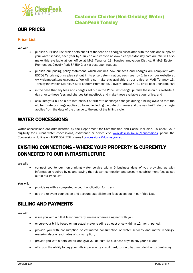

## OUR PRICES

### Price List

#### We will:

- publish our Price List, which sets out all of the fees and charges associated with the sale and supply of your water service, each year by 1 July on our website at [www.cleanpeaktonsley.com.au.](http://www.enwavetonsley.com.au/) We will also make this available at our office at MAB Tenancy 13, Tonsley Innovation District, 6 MAB Eastern Promenade, Clovelly Park SA 5042 or via post upon request;
- publish our pricing policy statement, which outlines how our fees and charges are compliant with ESCOSA's pricing principles set out in its price determination, each year by 1 July on our website at [www.cleanpeaktonsley.com.au.](http://www.enwavetonsley.com.au/) We will also make this available at our office at MAB Tenancy 13, Tonsley Innovation District, 6 MAB Eastern Promenade, Clovelly Park SA 5042 or via post upon request;
- in the case that any fees and charges set out in the Price List change, publish these on our website 1 day prior to these fees and charges taking effect, and make these available at our office; and
- calculate your bill on a pro-rata basis if a tariff rate or charge changes during a billing cycle so that the old tariff rate or charge applies up to and including the date of change and the new tariff rate or charge applies from the date of the change to the end of the billing cycle.

## WATER CONCESSIONS

Water concessions are administered by the Department for Communities and Social Inclusion. To check your eligibility for current water concessions, assistance or advice visit [www.dcsi.sa.gov.au/concessions,](http://www.dcsi.sa.gov.au/concessions) phone the Concessions Hotline on 1800 307 758 or emai[l concessions@dcsi.sa.gov.au.](mailto:concessions@dcsi.sa.gov.au)

## EXISTING CONNECTIONS - WHERE YOUR PROPERTY IS CURRENTLY CONNECTED TO OUR INFRASTRUCTURE

#### We will:

• connect you to our non-drinking water service within 5 business days of you providing us with information required by us and paying the relevant connection and account establishment fees as set out in our Price List.

You will:

- provide us with a completed account application form; and
- pay the relevant connection and account establishment fees as set out in our Price List.

## BILLING AND PAYMENTS

#### We will:

- issue you with a bill at least quarterly, unless otherwise agreed with you;
- ensure your bill is based on an actual meter reading at least once within a 12-month period;
- provide you with consumption or estimated consumption of water services and meter readings, metering data or estimates of consumption;
- provide you with a detailed bill and give you at least 12 business days to pay your bill; and
- offer you the ability to pay your bills in person, by credit card, by mail, by direct debit or by Centrepay.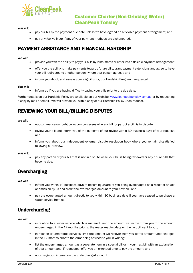

#### You will:

- pay our bill by the payment due date unless we have agreed on a flexible payment arrangement; and
- pay any fee we incur if any of your payment methods are dishonoured.

## PAYMENT ASSISTANCE AND FINANCIAL HARDSHIP

#### We will:

- provide you with the ability to pay your bills by instalments or enter into a flexible payment arrangement;
- offer you the ability to make payments towards future bills, grant payment extensions and agree to have your bill redirected to another person (where that person agrees); and
- inform you about, and assess your eligibility for, our Hardship Program if requested.

#### You will:

inform us if you are having difficulty paying your bills prior to the due date.

Further details on our Hardship Policy are available on our website [www.cleanpeakt](http://www.enwave/)onsley.com.au or by requesting a copy by mail or email. We will provide you with a copy of our Hardship Policy upon request.

## REVIEWING YOUR BILL/BILLING DISPUTES

#### We will:

- not commence our debt collection processes where a bill (or part of a bill) is in dispute;
- review your bill and inform you of the outcome of our review within 30 business days of your request; and
- inform you about our independent external dispute resolution body where you remain dissatisfied following our review.

#### You will:

• pay any portion of your bill that is not in dispute while your bill is being reviewed or any future bills that become due.

## **Overcharging**

#### We will:

- inform you within 10 business days of becoming aware of you being overcharged as a result of an act or omission by us and credit the overcharged amount to your next bill; and
- pay the overcharged amount directly to you within 10 business days if you have ceased to purchase a water service from us.

## Undercharging

#### We will:

- in relation to a water service which is metered, limit the amount we recover from you to the amount undercharged in the 12 months prior to the meter reading date on the last bill sent to you;
- in relation to unmetered services, limit the amount we recover from you to the amount undercharged in the 12 months prior to the error being advised to you in writing;
- list the undercharged amount as a separate item in a special bill or in your next bill with an explanation of that amount and, if requested, offer you an extended time to pay the amount; and
- not charge you interest on the undercharged amount.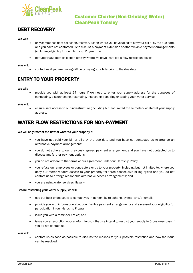

## DEBT RECOVERY

#### We will:

- only commence debt collection/recovery action where you have failed to pay your bill(s) by the due date, and you have not contacted us to discuss a payment extension or other flexible payment arrangements (including eligibility for our Hardship Program); and
- not undertake debt collection activity where we have installed a flow restriction device.

#### You will:

• contact us if you are having difficulty paying your bills prior to the due date.

## ENTRY TO YOUR PROPERTY

#### We will:

• provide you with at least 24 hours if we need to enter your supply address for the purposes of connecting, disconnecting, restricting, inspecting, repairing or testing your water service.

#### You will:

• ensure safe access to our infrastructure (including but not limited to the meter) located at your supply address.

## WATER FLOW RESTRICTIONS FOR NON-PAYMENT

#### We will only restrict the flow of water to your property if:

- you have not paid your bill or bills by the due date and you have not contacted us to arrange an alternative payment arrangement;
- you do not adhere to our previously agreed payment arrangement and you have not contacted us to discuss any further payment options;
- you do not adhere to the terms of our agreement under our Hardship Policy;
- you refuse our employees or contractors entry to your property, including but not limited to, where you deny our meter readers access to your property for three consecutive billing cycles and you do not contact us to arrange reasonable alternative access arrangements; and
- you are using water services illegally.

#### Before restricting your water supply, we will:

- use our best endeavours to contact you in person, by telephone, by mail and/or email;
- provide you with information about our flexible payment arrangements and assessed your eligibility for participation in our Hardship Program;
- issue you with a reminder notice; and
- issue you a restriction notice informing you that we intend to restrict your supply in 5 business days if you do not contact us.

#### You will:

• contact us as soon as possible to discuss the reasons for your possible restriction and how the issue can be resolved.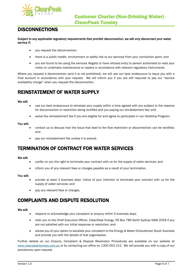

## **DISCONNECTIONS**

Subject to any applicable regulatory requirements that prohibit disconnection, we will only disconnect your water service if:

- you request the disconnection;
- there is a public health, environment or safety risk to our services from your connection point; and
- you are found to be using the services illegally or have refused entry to person authorised to read your meter or undertake maintenance or repairs in accordance with relevant regulatory instruments.

Where you request a disconnection (and it is not prohibited), we will use our best endeavours to issue you with a final account in accordance with your request. We will inform you if you are still required to pay our "service availability charge" when you request the disconnection.

## REINSTATEMENT OF WATER SUPPLY

#### We will:

- use our best endeavours to reinstate your supply within a time agreed with you subject to the reasons for disconnection or restriction being rectified and you paying our reinstatement fee; and
- waive the reinstatement fee if you are eligible for and agree to participate in our Hardship Program.

#### You will:

- contact us to discuss how the issue that lead to the flow restriction or disconnection can be rectified; and
- pay our reinstatement fee unless it is waived.

## TERMINATION OF CONTRACT FOR WATER SERVICES

#### We will:

- confer on you the right to terminate your contract with us for the supply of water services; and
- inform you of any relevant fees or charges payable as a result of your termination.

#### You will:

- provide at least 3 business days' notice of your intention to terminate your contract with us for the supply of water services; and
- pay any relevant fees or charges.

## COMPLAINTS AND DISPUTE RESOLUTION

#### We will:

- respond or acknowledge your complaint or enquiry within 5 business days;
- refer you to the Chief Executive Officer, CleanPeak Energy, PO Box 786 North Sydney NSW 2059 if you are not satisfied with our initial response or resolution; and
- advise you of your option to escalate your complaint to the Energy & Water Ombudsman South Australia and provide you with the details of that organisation.

Further details on our Enquiry, Complaint & Dispute Resolution Procedures are available on our website at www.cleanpeaktonsley.com.au or by contacting our office on 1300 053 212. We will provide you with a copy of our procedures upon request.